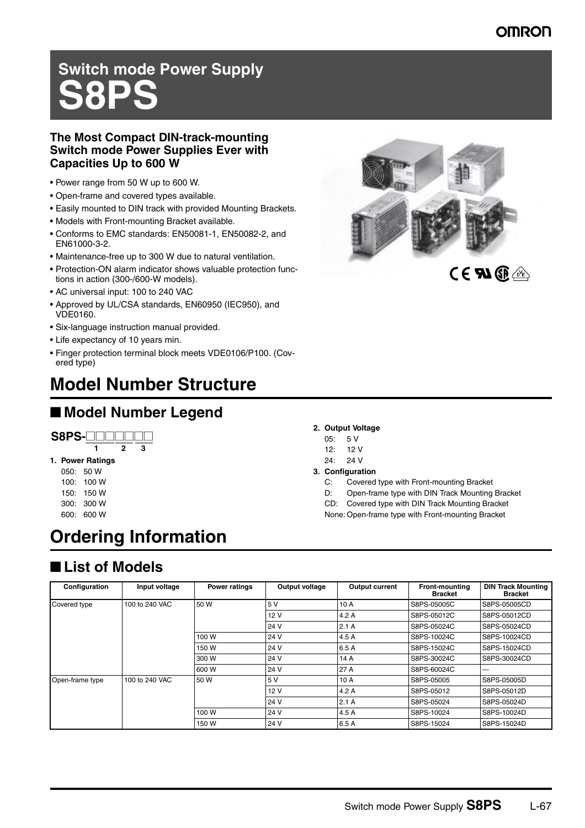# **Switch mode Power Supply S8PS**

#### **The Most Compact DIN-track-mounting Switch mode Power Supplies Ever with Capacities Up to 600 W**

- Power range from 50 W up to 600 W.
- Open-frame and covered types available.
- Easily mounted to DIN track with provided Mounting Brackets.
- Models with Front-mounting Bracket available.
- Conforms to EMC standards: EN50081-1, EN50082-2, and EN61000-3-2.
- Maintenance-free up to 300 W due to natural ventilation.
- Protection-ON alarm indicator shows valuable protection functions in action (300-/600-W models).
- AC universal input: 100 to 240 VAC
- Approved by UL/CSA standards, EN60950 (IEC950), and VDE0160.
- Six-language instruction manual provided.
- Life expectancy of 10 years min.
- Finger protection terminal block meets VDE0106/P100. (Covered type)

# **Model Number Structure**

# ■ **Model Number Legend**

# **S8PS-**@@@@@@@

#### **1. Power Ratings 1 2 3**

- 050: 50 W 100: 100 W
- 150: 150 W 300: 300 W
- 600: 600 W

# **Ordering Information**

## ■ List of Models

| Configuration   | Input voltage  | <b>Power ratings</b> | Output voltage | Output current | <b>Front-mounting</b><br><b>Bracket</b> | <b>DIN Track Mounting</b><br><b>Bracket</b> |
|-----------------|----------------|----------------------|----------------|----------------|-----------------------------------------|---------------------------------------------|
| Covered type    | 100 to 240 VAC | 50 W                 | 5V             | 10 A           | S8PS-05005C                             | S8PS-05005CD                                |
|                 |                |                      | 12 V           | 4.2A           | S8PS-05012C                             | S8PS-05012CD                                |
|                 |                |                      | 24 V           | 2.1A           | S8PS-05024C                             | S8PS-05024CD                                |
|                 |                | 100 W                | 24 V           | 4.5 A          | S8PS-10024C                             | S8PS-10024CD                                |
|                 |                | 150 W                | 24 V           | 6.5 A          | S8PS-15024C                             | S8PS-15024CD                                |
|                 |                | 300 W                | 24 V           | 14 A           | S8PS-30024C                             | S8PS-30024CD                                |
|                 |                | 600 W                | 24 V           | 27 A           | S8PS-60024C                             | ---                                         |
| Open-frame type | 100 to 240 VAC | 50 W                 | 5V             | 10 A           | S8PS-05005                              | S8PS-05005D                                 |
|                 |                |                      | 12 V           | 4.2 A          | S8PS-05012                              | S8PS-05012D                                 |
|                 |                |                      | 24 V           | 2.1A           | S8PS-05024                              | S8PS-05024D                                 |
|                 |                | 100 W                | 24 V           | 4.5 A          | S8PS-10024                              | S8PS-10024D                                 |
|                 |                | 150 W                | 24 V           | 6.5 A          | S8PS-15024                              | S8PS-15024D                                 |



- **2. Output Voltage**
- 05: 5 V
- 12: 12 V
- 24: 24 V
- **3. Configuration**
	- C: Covered type with Front-mounting Bracket
	- D: Open-frame type with DIN Track Mounting Bracket
	- CD: Covered type with DIN Track Mounting Bracket
	- None: Open-frame type with Front-mounting Bracket

Switch mode Power Supply **S8PS** L-67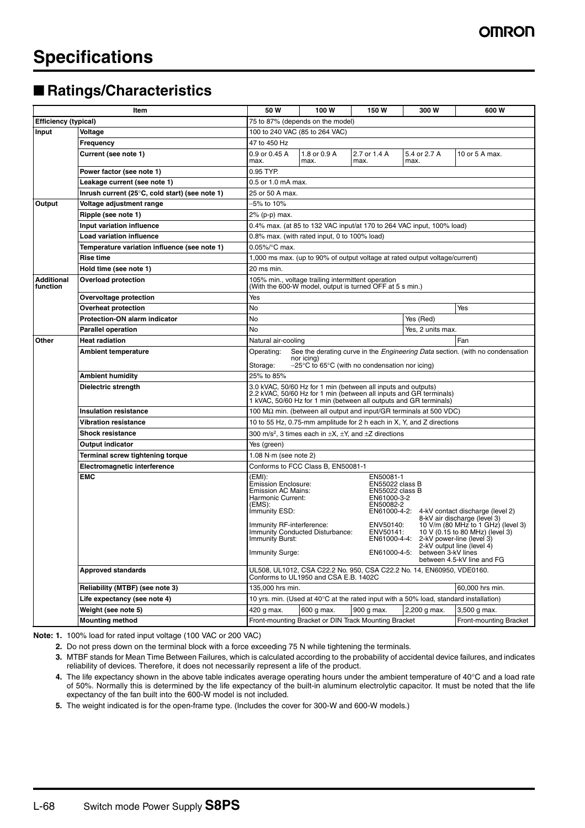## ■ Ratings/Characteristics

| Item                                                                            |                                                | 50 W                                                                                                                                                                                                                                                                                                                                                                 | 100 W                                                | 150W                 | 300 W                | 600 W                  |  |  |
|---------------------------------------------------------------------------------|------------------------------------------------|----------------------------------------------------------------------------------------------------------------------------------------------------------------------------------------------------------------------------------------------------------------------------------------------------------------------------------------------------------------------|------------------------------------------------------|----------------------|----------------------|------------------------|--|--|
| <b>Efficiency (typical)</b>                                                     |                                                | 75 to 87% (depends on the model)                                                                                                                                                                                                                                                                                                                                     |                                                      |                      |                      |                        |  |  |
| Input                                                                           | Voltage                                        | 100 to 240 VAC (85 to 264 VAC)                                                                                                                                                                                                                                                                                                                                       |                                                      |                      |                      |                        |  |  |
|                                                                                 | Frequency                                      | 47 to 450 Hz                                                                                                                                                                                                                                                                                                                                                         |                                                      |                      |                      |                        |  |  |
|                                                                                 | Current (see note 1)                           | 0.9 or 0.45 A<br>max.                                                                                                                                                                                                                                                                                                                                                | 1.8 or 0.9 A<br>max.                                 | 2.7 or 1.4 A<br>max. | 5.4 or 2.7 A<br>max. | 10 or 5 A max.         |  |  |
|                                                                                 | Power factor (see note 1)                      | 0.95 TYP.                                                                                                                                                                                                                                                                                                                                                            |                                                      |                      |                      |                        |  |  |
|                                                                                 | Leakage current (see note 1)                   | 0.5 or 1.0 mA max.                                                                                                                                                                                                                                                                                                                                                   |                                                      |                      |                      |                        |  |  |
|                                                                                 | Inrush current (25°C, cold start) (see note 1) | 25 or 50 A max.                                                                                                                                                                                                                                                                                                                                                      |                                                      |                      |                      |                        |  |  |
| Output                                                                          | Voltage adjustment range                       | -5% to 10%                                                                                                                                                                                                                                                                                                                                                           |                                                      |                      |                      |                        |  |  |
|                                                                                 | Ripple (see note 1)                            | 2% (p-p) max.                                                                                                                                                                                                                                                                                                                                                        |                                                      |                      |                      |                        |  |  |
|                                                                                 | Input variation influence                      | 0.4% max. (at 85 to 132 VAC input/at 170 to 264 VAC input, 100% load)                                                                                                                                                                                                                                                                                                |                                                      |                      |                      |                        |  |  |
|                                                                                 | <b>Load variation influence</b>                | 0.8% max. (with rated input. 0 to 100% load)                                                                                                                                                                                                                                                                                                                         |                                                      |                      |                      |                        |  |  |
|                                                                                 | Temperature variation influence (see note 1)   | $0.05\%$ C max.                                                                                                                                                                                                                                                                                                                                                      |                                                      |                      |                      |                        |  |  |
|                                                                                 | Rise time                                      | 1,000 ms max. (up to 90% of output voltage at rated output voltage/current)                                                                                                                                                                                                                                                                                          |                                                      |                      |                      |                        |  |  |
|                                                                                 | Hold time (see note 1)                         | 20 ms min.                                                                                                                                                                                                                                                                                                                                                           |                                                      |                      |                      |                        |  |  |
| <b>Additional</b><br>function                                                   | <b>Overload protection</b>                     | 105% min., voltage trailing intermittent operation<br>(With the 600-W model, output is turned OFF at 5 s min.)                                                                                                                                                                                                                                                       |                                                      |                      |                      |                        |  |  |
|                                                                                 | Overvoltage protection                         | Yes                                                                                                                                                                                                                                                                                                                                                                  |                                                      |                      |                      |                        |  |  |
|                                                                                 | <b>Overheat protection</b>                     | No                                                                                                                                                                                                                                                                                                                                                                   |                                                      |                      |                      | Yes                    |  |  |
|                                                                                 | <b>Protection-ON alarm indicator</b>           | No                                                                                                                                                                                                                                                                                                                                                                   |                                                      |                      | Yes (Red)            |                        |  |  |
|                                                                                 | <b>Parallel operation</b>                      | No<br>Yes, 2 units max.                                                                                                                                                                                                                                                                                                                                              |                                                      |                      |                      |                        |  |  |
| Other                                                                           | <b>Heat radiation</b>                          | Natural air-cooling                                                                                                                                                                                                                                                                                                                                                  |                                                      |                      |                      | Fan                    |  |  |
|                                                                                 | <b>Ambient temperature</b>                     | See the derating curve in the <i>Engineering Data</i> section. (with no condensation<br>Operating:<br>nor icing)<br>$-25^{\circ}$ C to 65 $^{\circ}$ C (with no condensation nor icing)<br>Storage:                                                                                                                                                                  |                                                      |                      |                      |                        |  |  |
|                                                                                 | <b>Ambient humidity</b>                        | 25% to 85%                                                                                                                                                                                                                                                                                                                                                           |                                                      |                      |                      |                        |  |  |
|                                                                                 | Dielectric strength                            | 3.0 kVAC, 50/60 Hz for 1 min (between all inputs and outputs)<br>2.2 kVAC, 50/60 Hz for 1 min (between all inputs and GR terminals)<br>1 kVAC, 50/60 Hz for 1 min (between all outputs and GR terminals)                                                                                                                                                             |                                                      |                      |                      |                        |  |  |
| <b>Insulation resistance</b>                                                    |                                                | 100 $\text{M}\Omega$ min. (between all output and input/GR terminals at 500 VDC)                                                                                                                                                                                                                                                                                     |                                                      |                      |                      |                        |  |  |
|                                                                                 | <b>Vibration resistance</b>                    | 10 to 55 Hz, 0.75-mm amplitude for 2 h each in X, Y, and Z directions                                                                                                                                                                                                                                                                                                |                                                      |                      |                      |                        |  |  |
| <b>Shock resistance</b><br>Output indicator<br>Terminal screw tightening torque |                                                | 300 m/s <sup>2</sup> , 3 times each in $\pm X$ , $\pm Y$ , and $\pm Z$ directions                                                                                                                                                                                                                                                                                    |                                                      |                      |                      |                        |  |  |
|                                                                                 |                                                | Yes (green)                                                                                                                                                                                                                                                                                                                                                          |                                                      |                      |                      |                        |  |  |
|                                                                                 |                                                | 1.08 N $\cdot$ m (see note 2)                                                                                                                                                                                                                                                                                                                                        |                                                      |                      |                      |                        |  |  |
|                                                                                 | Electromagnetic interference                   | Conforms to FCC Class B, EN50081-1                                                                                                                                                                                                                                                                                                                                   |                                                      |                      |                      |                        |  |  |
|                                                                                 | <b>EMC</b>                                     | (EMI):<br>EN50081-1<br><b>Emission Enclosure:</b><br>EN55022 class B<br><b>Emission AC Mains:</b><br>EN55022 class B<br>Harmonic Current:<br>EN61000-3-2<br>(EMS):<br>EN50082-2<br>EN61000-4-2:<br>Immunity ESD:<br>4-kV contact discharge (level 2)<br>8-kV air discharge (level 3)<br>Immunity RF-interference:<br>ENV50140:<br>10 V/m (80 MHz to 1 GHz) (level 3) |                                                      |                      |                      |                        |  |  |
|                                                                                 |                                                | 10 V (0.15 to 80 MHz) (level 3)<br>Immunity Conducted Disturbance:<br>ENV50141:<br>EN61000-4-4: 2-kV power-line (level 3)<br>Immunity Burst:<br>2-kV output line (level 4)<br>Immunity Surge:<br>EN61000-4-5: between 3-kV lines<br>between 4.5-kV line and FG                                                                                                       |                                                      |                      |                      |                        |  |  |
|                                                                                 | <b>Approved standards</b>                      | UL508, UL1012, CSA C22.2 No. 950, CSA C22.2 No. 14, EN60950, VDE0160.<br>Conforms to UL1950 and CSA E.B. 1402C                                                                                                                                                                                                                                                       |                                                      |                      |                      |                        |  |  |
|                                                                                 | Reliability (MTBF) (see note 3)                |                                                                                                                                                                                                                                                                                                                                                                      | 135,000 hrs min.<br>60,000 hrs min.                  |                      |                      |                        |  |  |
|                                                                                 | Life expectancy (see note 4)                   | 10 yrs. min. (Used at 40°C at the rated input with a 50% load, standard installation)                                                                                                                                                                                                                                                                                |                                                      |                      |                      |                        |  |  |
|                                                                                 | Weight (see note 5)                            | 420 g max.                                                                                                                                                                                                                                                                                                                                                           | 600 g max.                                           | 900 g max.           | 2,200 g max.         | 3,500 g max.           |  |  |
|                                                                                 | <b>Mounting method</b>                         |                                                                                                                                                                                                                                                                                                                                                                      | Front-mounting Bracket or DIN Track Mounting Bracket |                      |                      | Front-mounting Bracket |  |  |

**Note: 1.** 100% load for rated input voltage (100 VAC or 200 VAC)

**2.** Do not press down on the terminal block with a force exceeding 75 N while tightening the terminals.

**3.** MTBF stands for Mean Time Between Failures, which is calculated according to the probability of accidental device failures, and indicates reliability of devices. Therefore, it does not necessarily represent a life of the product.

**4.** The life expectancy shown in the above table indicates average operating hours under the ambient temperature of 40°C and a load rate of 50%. Normally this is determined by the life expectancy of the built-in aluminum electrolytic capacitor. It must be noted that the life expectancy of the fan built into the 600-W model is not included.

**5.** The weight indicated is for the open-frame type. (Includes the cover for 300-W and 600-W models.)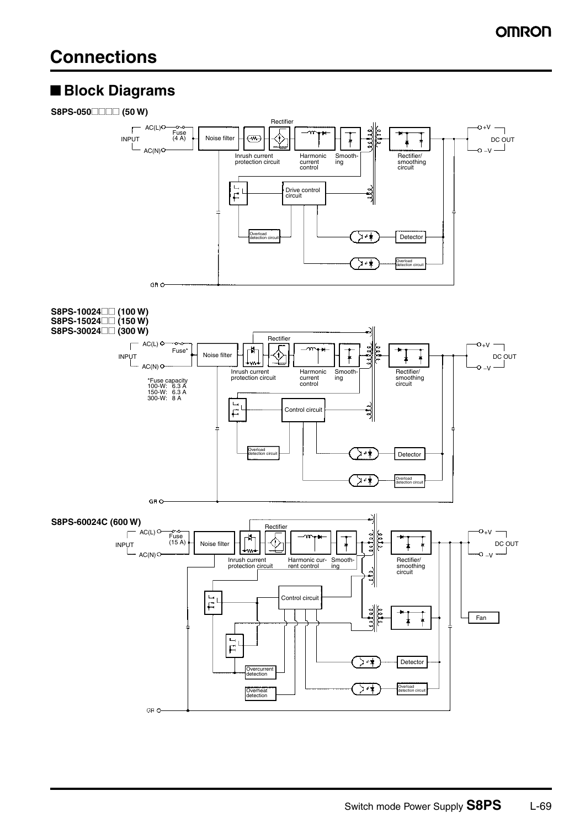## ■ **Block Diagrams**

#### **S8PS-050***<u>m</u>* (50 W)

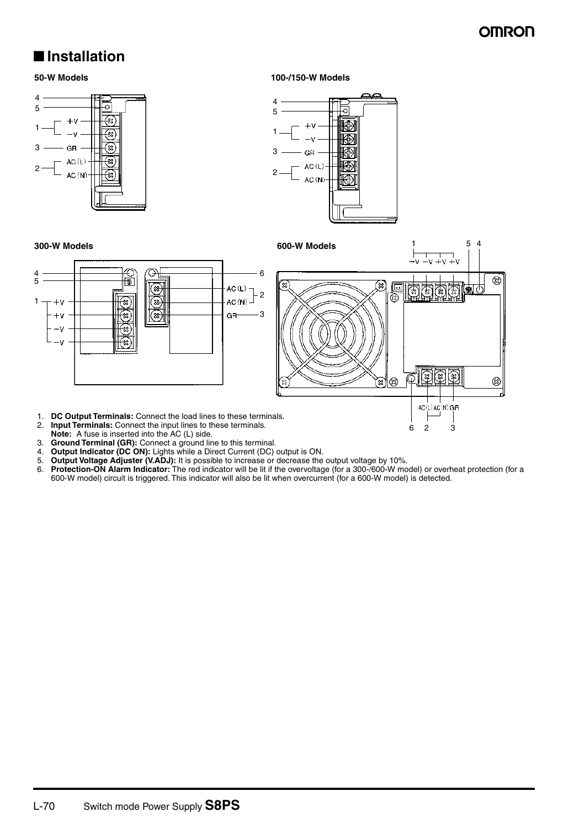62 3

### ■ **Installation**

**50-W Models 100-/150-W Models**



- 1. **DC Output Terminals:** Connect the load lines to these terminals.<br>2. **Input Terminals:** Connect the input lines to these terminals.
- 2. **Input Terminals:** Connect the input lines to these terminals. **Note:** A fuse is inserted into the AC (L) side.
- 
- 3. **Ground Terminal (GR):** Connect a ground line to this terminal. 4. **Output Indicator (DC ON):** Lights while a Direct Current (DC) output is ON.
- 5. **Output Voltage Adjuster (V.ADJ):** It is possible to increase or decrease the output voltage by 10%.
- 6. **Protection-ON Alarm Indicator:** The red indicator will be lit if the overvoltage (for a 300-/600-W model) or overheat protection (for a 600-W model) circuit is triggered. This indicator will also be lit when overcurrent (for a 600-W model) is detected.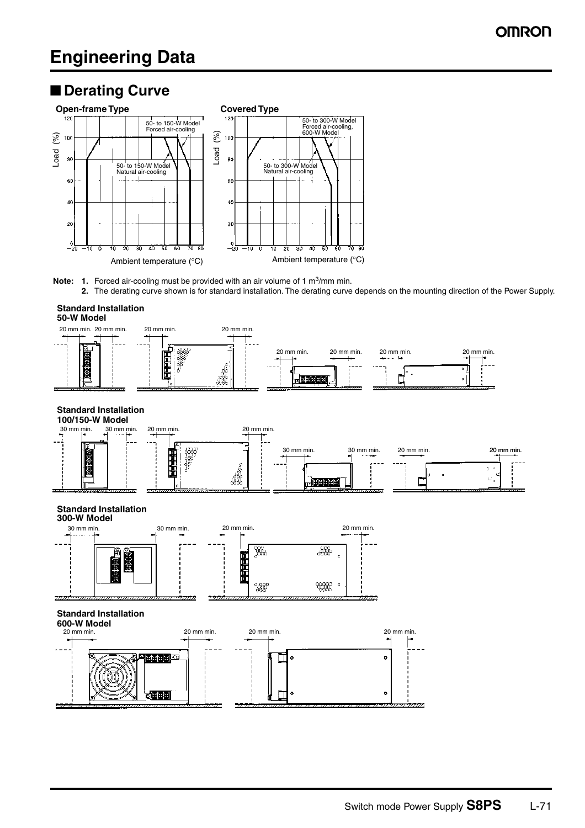## ■ **Derating Curve**



**Note: 1.** Forced air-cooling must be provided with an air volume of 1 m<sup>3</sup>/mm min. **2.** The derating curve shown is for standard installation. The derating curve depends on the mounting direction of the Power Supply.

#### **Standard Installation**





#### **Standard Installation**



#### **Standard Installation**



#### **Standard Installation**

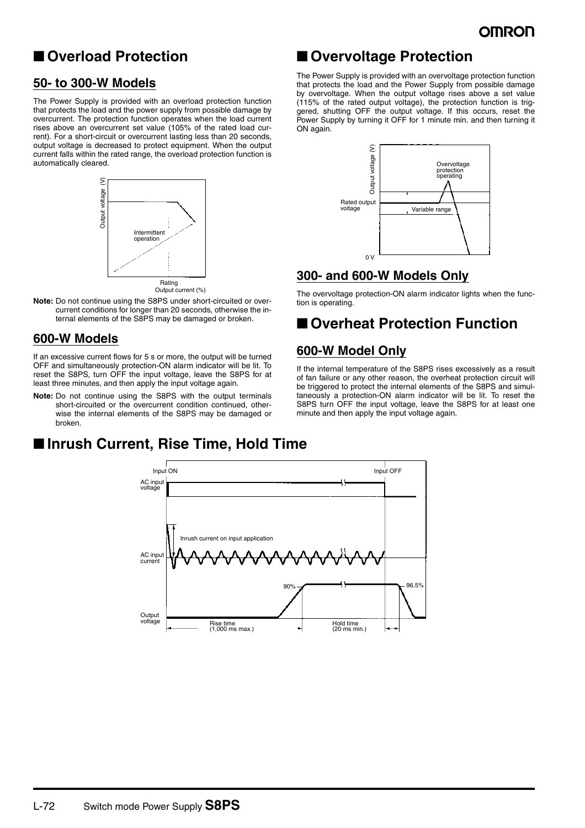## ■ **Overload Protection**

#### **50- to 300-W Models**

The Power Supply is provided with an overload protection function that protects the load and the power supply from possible damage by overcurrent. The protection function operates when the load current rises above an overcurrent set value (105% of the rated load current). For a short-circuit or overcurrent lasting less than 20 seconds, output voltage is decreased to protect equipment. When the output current falls within the rated range, the overload protection function is automatically cleared.



Output current (%)

**Note:** Do not continue using the S8PS under short-circuited or overcurrent conditions for longer than 20 seconds, otherwise the internal elements of the S8PS may be damaged or broken.

#### **600-W Models**

If an excessive current flows for 5 s or more, the output will be turned OFF and simultaneously protection-ON alarm indicator will be lit. To reset the S8PS, turn OFF the input voltage, leave the S8PS for at least three minutes, and then apply the input voltage again.

**Note:** Do not continue using the S8PS with the output terminals short-circuited or the overcurrent condition continued, otherwise the internal elements of the S8PS may be damaged or broken.

# ■ Overvoltage Protection

The Power Supply is provided with an overvoltage protection function that protects the load and the Power Supply from possible damage by overvoltage. When the output voltage rises above a set value (115% of the rated output voltage), the protection function is triggered, shutting OFF the output voltage. If this occurs, reset the Power Supply by turning it OFF for 1 minute min. and then turning it ON again.



#### **300- and 600-W Models Only**

The overvoltage protection-ON alarm indicator lights when the function is operating.

# ■ Overheat Protection Function

#### **600-W Model Only**

If the internal temperature of the S8PS rises excessively as a result of fan failure or any other reason, the overheat protection circuit will be triggered to protect the internal elements of the S8PS and simultaneously a protection-ON alarm indicator will be lit. To reset the S8PS turn OFF the input voltage, leave the S8PS for at least one minute and then apply the input voltage again.

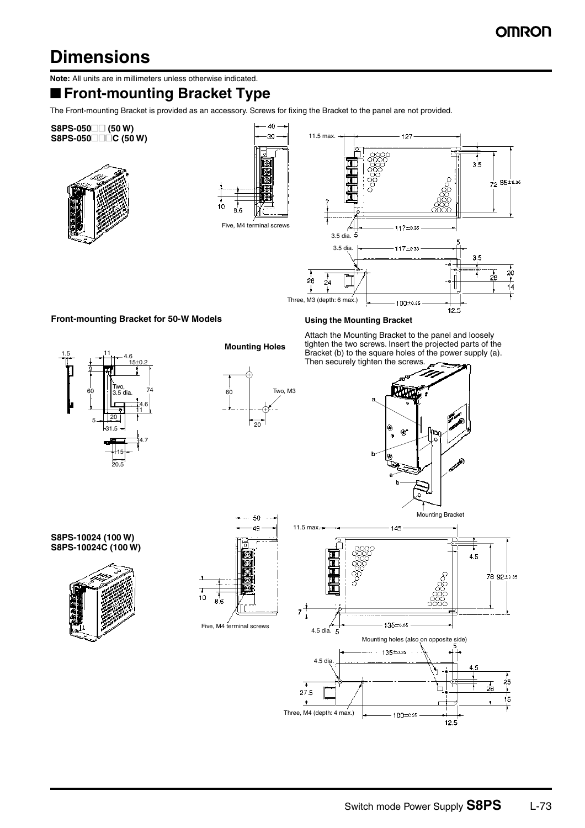# **Dimensions**

**Note:** All units are in millimeters unless otherwise indicated.

# ■ **Front-mounting Bracket Type**

The Front-mounting Bracket is provided as an accessory. Screws for fixing the Bracket to the panel are not provided.



 $12.5$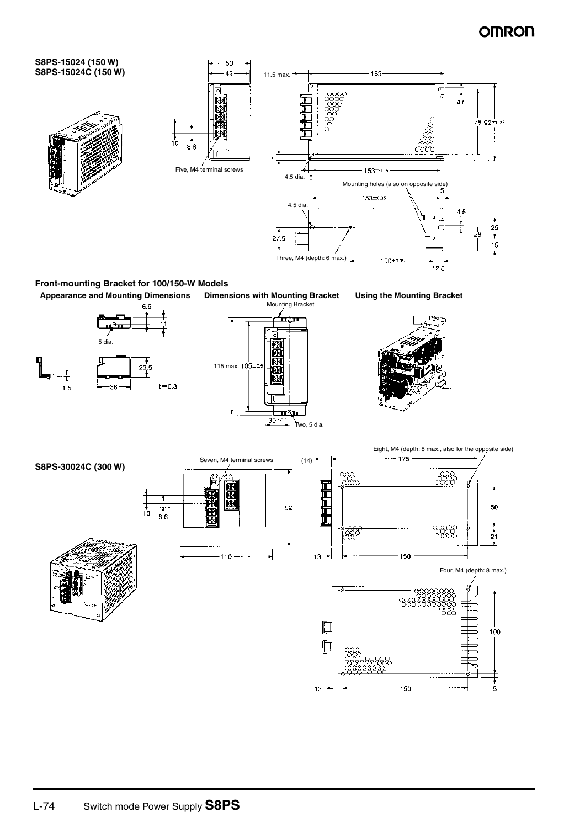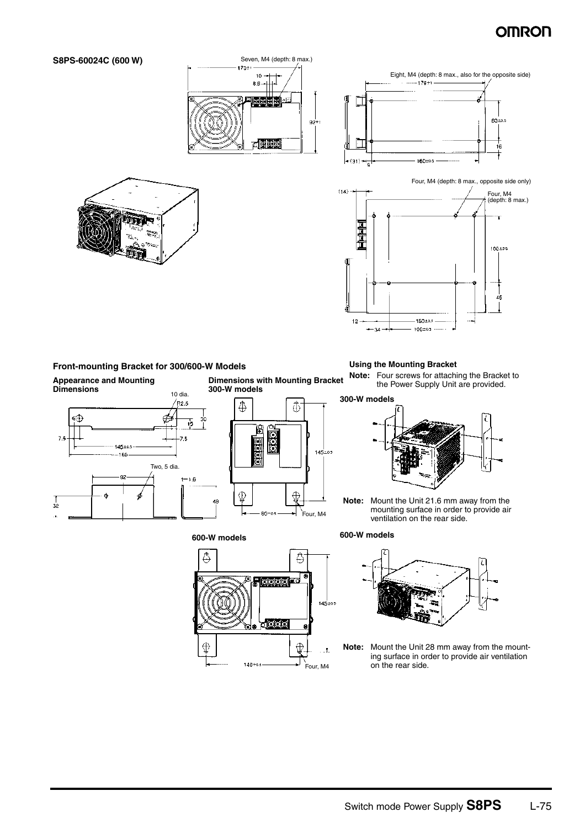6010.5

 $\frac{1}{16}$ 



Œ



**Appearance and Mounting Dimensions**

**S8PS-60024C (600 W)**



**Dimensions with Mounting Bracket 300-W models**



#### **600-W models**



**Note:** Four screws for attaching the Bracket to the Power Supply Unit are provided.



**Note:** Mount the Unit 21.6 mm away from the mounting surface in order to provide air ventilation on the rear side.

#### **600-W models**



**Note:** Mount the Unit 28 mm away from the mounting surface in order to provide air ventilation on the rear side.

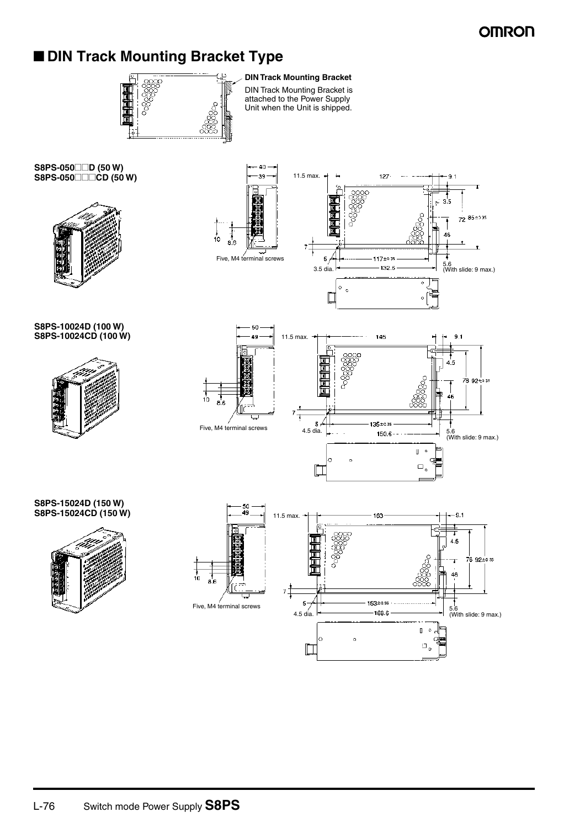# ■ **DIN Track Mounting Bracket Type**



**DIN Track Mounting Bracket** DIN Track Mounting Bracket is attached to the Power Supply Unit when the Unit is shipped.

11.5 max.

5

Five, M4 terminal screws

 $\frac{1}{10}$ 

- 40 -39

**S8PS-050</u>□□D (50 W) S8PS-050**□□□CD (50 W)



**S8PS-10024D (100 W) S8PS-10024CD (100 W)**





127

117±035

 $3.5$ ρĴ.

46

 $72.852235$ 

#### **S8PS-15024D (150 W) S8PS-15024CD (150 W)**



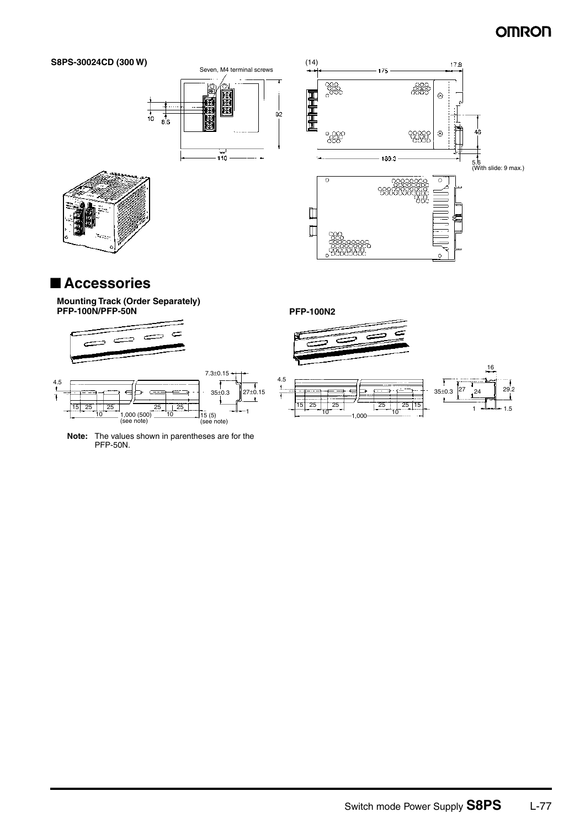



# ■ **Accessories**

#### **Mounting Track (Order Separately) PFP-100N/PFP-50N**









#### **PFP-100N2**

4.5

 $\mathbf{1}$ 



Ξ